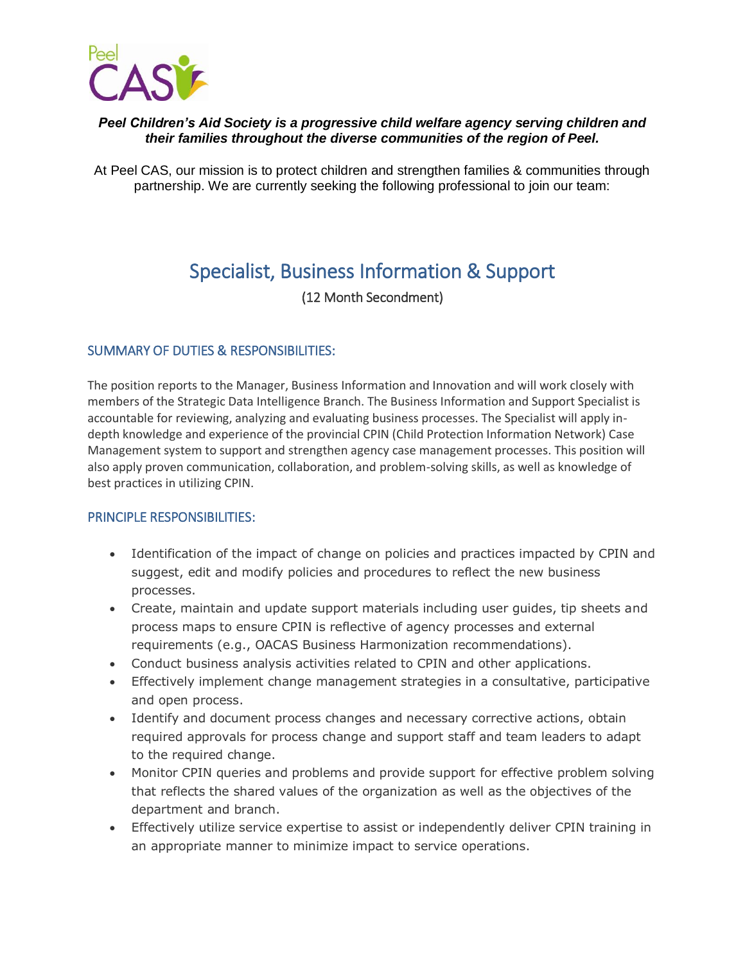

# *Peel Children's Aid Society is a progressive child welfare agency serving children and their families throughout the diverse communities of the region of Peel.*

At Peel CAS, our mission is to protect children and strengthen families & communities through partnership. We are currently seeking the following professional to join our team:

# Specialist, Business Information & Support

(12 Month Secondment)

# SUMMARY OF DUTIES & RESPONSIBILITIES:

The position reports to the Manager, Business Information and Innovation and will work closely with members of the Strategic Data Intelligence Branch. The Business Information and Support Specialist is accountable for reviewing, analyzing and evaluating business processes. The Specialist will apply indepth knowledge and experience of the provincial CPIN (Child Protection Information Network) Case Management system to support and strengthen agency case management processes. This position will also apply proven communication, collaboration, and problem-solving skills, as well as knowledge of best practices in utilizing CPIN.

## PRINCIPLE RESPONSIBILITIES:

- Identification of the impact of change on policies and practices impacted by CPIN and suggest, edit and modify policies and procedures to reflect the new business processes.
- Create, maintain and update support materials including user guides, tip sheets and process maps to ensure CPIN is reflective of agency processes and external requirements (e.g., OACAS Business Harmonization recommendations).
- Conduct business analysis activities related to CPIN and other applications.
- Effectively implement change management strategies in a consultative, participative and open process.
- Identify and document process changes and necessary corrective actions, obtain required approvals for process change and support staff and team leaders to adapt to the required change.
- Monitor CPIN queries and problems and provide support for effective problem solving that reflects the shared values of the organization as well as the objectives of the department and branch.
- Effectively utilize service expertise to assist or independently deliver CPIN training in an appropriate manner to minimize impact to service operations.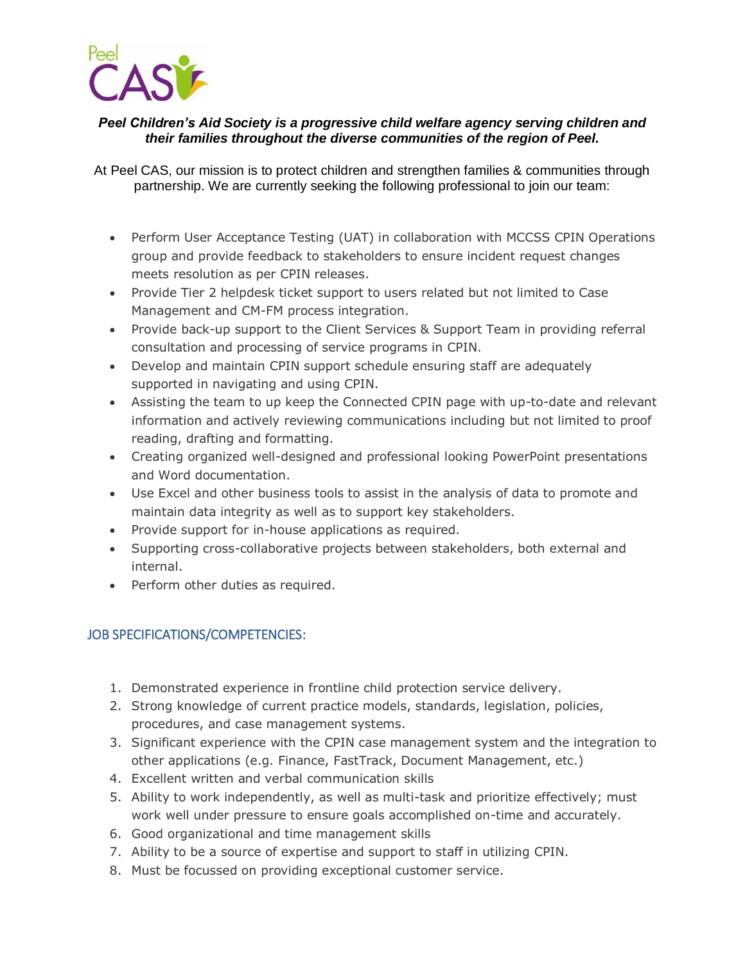

# *Peel Children's Aid Society is a progressive child welfare agency serving children and their families throughout the diverse communities of the region of Peel.*

At Peel CAS, our mission is to protect children and strengthen families & communities through partnership. We are currently seeking the following professional to join our team:

- Perform User Acceptance Testing (UAT) in collaboration with MCCSS CPIN Operations group and provide feedback to stakeholders to ensure incident request changes meets resolution as per CPIN releases.
- Provide Tier 2 helpdesk ticket support to users related but not limited to Case Management and CM-FM process integration.
- Provide back-up support to the Client Services & Support Team in providing referral consultation and processing of service programs in CPIN.
- Develop and maintain CPIN support schedule ensuring staff are adequately supported in navigating and using CPIN.
- Assisting the team to up keep the Connected CPIN page with up-to-date and relevant information and actively reviewing communications including but not limited to proof reading, drafting and formatting.
- Creating organized well-designed and professional looking PowerPoint presentations and Word documentation.
- Use Excel and other business tools to assist in the analysis of data to promote and maintain data integrity as well as to support key stakeholders.
- Provide support for in-house applications as required.
- Supporting cross-collaborative projects between stakeholders, both external and internal.
- Perform other duties as required.

# JOB SPECIFICATIONS/COMPETENCIES:

- 1. Demonstrated experience in frontline child protection service delivery.
- 2. Strong knowledge of current practice models, standards, legislation, policies, procedures, and case management systems.
- 3. Significant experience with the CPIN case management system and the integration to other applications (e.g. Finance, FastTrack, Document Management, etc.)
- 4. Excellent written and verbal communication skills
- 5. Ability to work independently, as well as multi-task and prioritize effectively; must work well under pressure to ensure goals accomplished on-time and accurately.
- 6. Good organizational and time management skills
- 7. Ability to be a source of expertise and support to staff in utilizing CPIN.
- 8. Must be focussed on providing exceptional customer service.